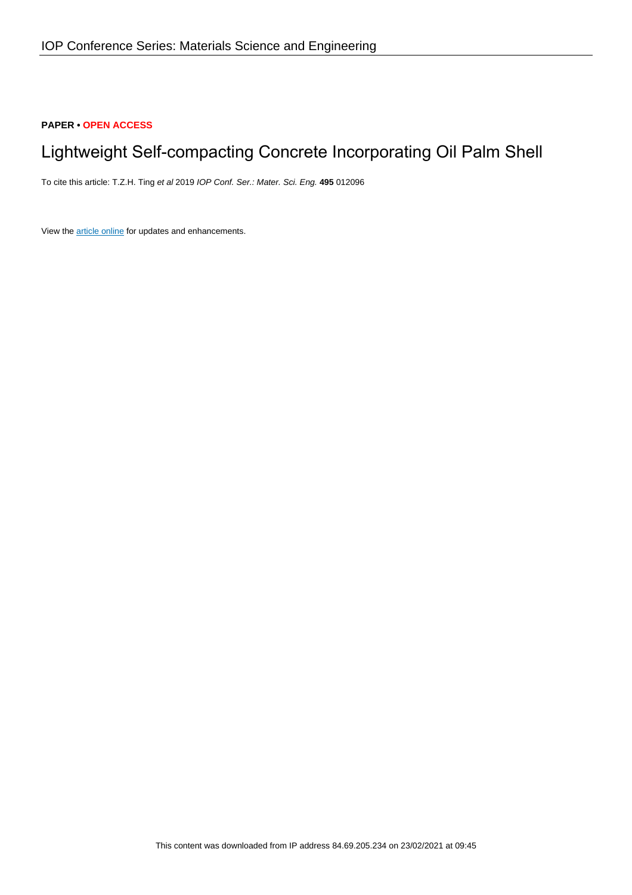# **PAPER • OPEN ACCESS**

# Lightweight Self-compacting Concrete Incorporating Oil Palm Shell

To cite this article: T.Z.H. Ting et al 2019 IOP Conf. Ser.: Mater. Sci. Eng. **495** 012096

View the [article online](https://doi.org/10.1088/1757-899X/495/1/012096) for updates and enhancements.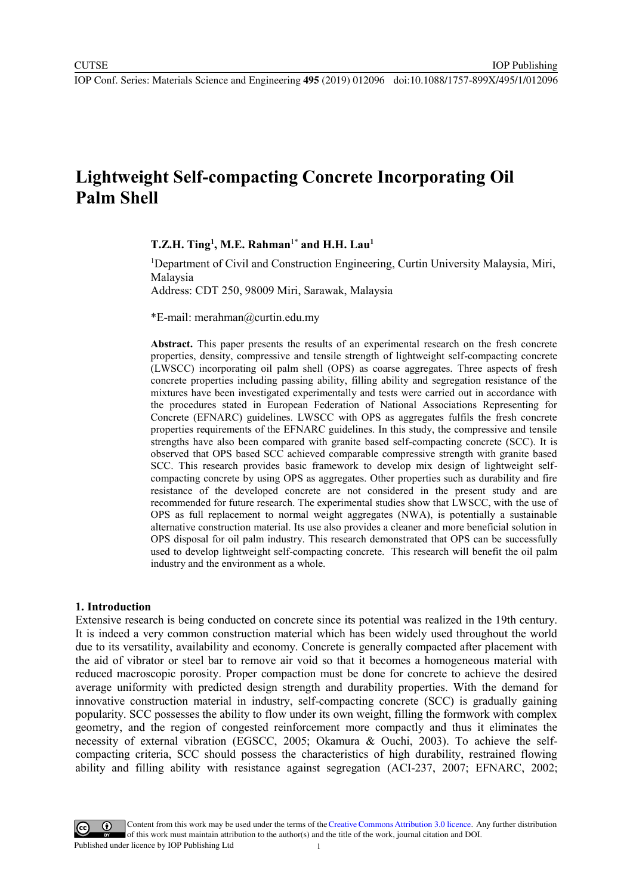IOP Publishing

# **Lightweight Self-compacting Concrete Incorporating Oil Palm Shell**

# **T.Z.H. Ting1 , M.E. Rahman**1\* **and H.H. Lau1**

<sup>1</sup>Department of Civil and Construction Engineering, Curtin University Malaysia, Miri, Malaysia

Address: CDT 250, 98009 Miri, Sarawak, Malaysia

\*E-mail: merahman@curtin.edu.my

**Abstract.** This paper presents the results of an experimental research on the fresh concrete properties, density, compressive and tensile strength of lightweight self-compacting concrete (LWSCC) incorporating oil palm shell (OPS) as coarse aggregates. Three aspects of fresh concrete properties including passing ability, filling ability and segregation resistance of the mixtures have been investigated experimentally and tests were carried out in accordance with the procedures stated in European Federation of National Associations Representing for Concrete (EFNARC) guidelines. LWSCC with OPS as aggregates fulfils the fresh concrete properties requirements of the EFNARC guidelines. In this study, the compressive and tensile strengths have also been compared with granite based self-compacting concrete (SCC). It is observed that OPS based SCC achieved comparable compressive strength with granite based SCC. This research provides basic framework to develop mix design of lightweight selfcompacting concrete by using OPS as aggregates. Other properties such as durability and fire resistance of the developed concrete are not considered in the present study and are recommended for future research. The experimental studies show that LWSCC, with the use of OPS as full replacement to normal weight aggregates (NWA), is potentially a sustainable alternative construction material. Its use also provides a cleaner and more beneficial solution in OPS disposal for oil palm industry. This research demonstrated that OPS can be successfully used to develop lightweight self-compacting concrete. This research will benefit the oil palm industry and the environment as a whole.

#### **1. Introduction**

Extensive research is being conducted on concrete since its potential was realized in the 19th century. It is indeed a very common construction material which has been widely used throughout the world due to its versatility, availability and economy. Concrete is generally compacted after placement with the aid of vibrator or steel bar to remove air void so that it becomes a homogeneous material with reduced macroscopic porosity. Proper compaction must be done for concrete to achieve the desired average uniformity with predicted design strength and durability properties. With the demand for innovative construction material in industry, self-compacting concrete (SCC) is gradually gaining popularity. SCC possesses the ability to flow under its own weight, filling the formwork with complex geometry, and the region of congested reinforcement more compactly and thus it eliminates the necessity of external vibration (EGSCC, 2005; Okamura & Ouchi, 2003). To achieve the selfcompacting criteria, SCC should possess the characteristics of high durability, restrained flowing ability and filling ability with [resistance again](#page-9-0)[st segregation \(ACI-237, 2](#page-10-0)007; EFNARC, 2002;

Content from this work may be used under the terms of the Creative Commons Attribution 3.0 licence. Any further distribution of this work must maintain attribution to the author(s) and the title of the work, journal citation and DOI. Published under licence by IOP Publishing Ltd 1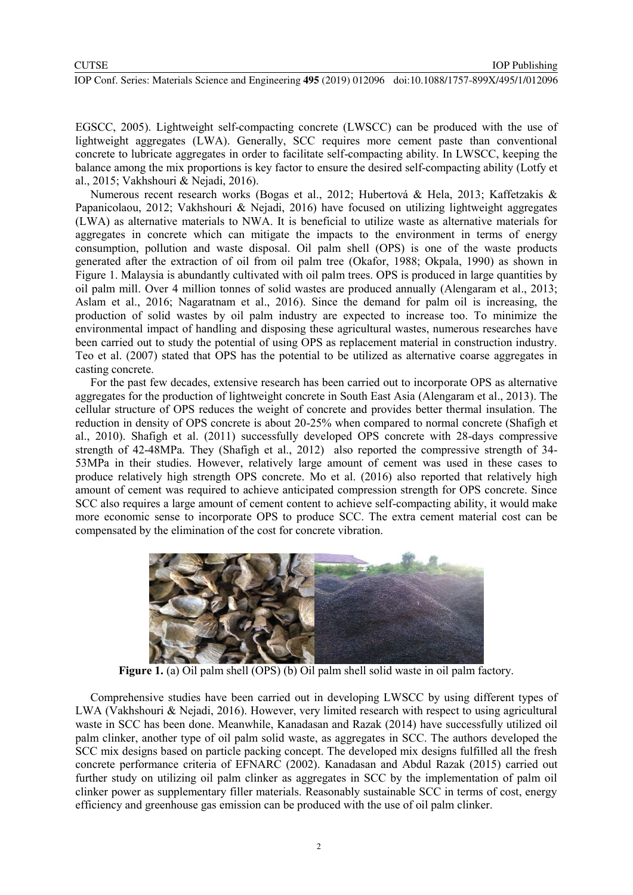[EGSCC, 2005\)](#page-9-0). Lightweight self-compacting concrete (LWSCC) can be produced with the use of lightweight aggregates (LWA). Generally, SCC requires more cement paste than conventional concrete to lubricate aggregates in order to facilitate self-compacting ability. In LWSCC, keeping the balance among the mix proportions is key factor to ensure the desired self-compacting ability [\(Lotfy et](#page-9-1)  [al., 2015;](#page-9-1) [Vakhshouri & Nejadi, 2016\)](#page-10-1).

Numerous recent research works [\(Bogas et al., 2012;](#page-9-2) [Hubertová & Hela, 2013;](#page-9-3) [Kaffetzakis &](#page-9-4)  [Papanicolaou, 2012;](#page-9-4) Vakhshouri [& Nejadi, 2016\)](#page-10-1) have focused on utilizing lightweight aggregates (LWA) as alternative materials to NWA. It is beneficial to utilize waste as alternative materials for aggregates in concrete which can mitigate the impacts to the environment in terms of energy consumption, pollution and waste disposal. Oil palm shell (OPS) is one of the waste products generated after the extraction of oil from oil palm tree [\(Okafor, 1988;](#page-10-2) [Okpala, 1990\)](#page-10-3) as shown in [Figure 1.](#page-2-0) Malaysia is abundantly cultivated with oil palm trees. OPS is produced in large quantities by oil palm mill. Over 4 million tonnes of solid wastes are produced annually [\(Alengaram et al., 2013;](#page-9-5) [Aslam et al., 2016;](#page-9-6) [Nagaratnam et al., 2016\)](#page-10-4). Since the demand for palm oil is increasing, the production of solid wastes by oil palm industry are expected to increase too. To minimize the environmental impact of handling and disposing these agricultural wastes, numerous researches have been carried out to study the potential of using OPS as replacement material in construction industry. [Teo et al. \(2007\)](#page-10-5) stated that OPS has the potential to be utilized as alternative coarse aggregates in casting concrete.

For the past few decades, extensive research has been carried out to incorporate OPS as alternative aggregates for the production of lightweight concrete in South East Asia [\(Alengaram et al., 2013\)](#page-9-5). The cellular structure of OPS reduces the weight of concrete and provides better thermal insulation. The reduction in density of OPS concrete is about 20-25% when compared to normal concrete [\(Shafigh et](#page-10-6)  [al., 2010\)](#page-10-6). [Shafigh et al. \(2011\)](#page-10-7) successfully developed OPS concrete with 28-days compressive strength of 42-48MPa. They [\(Shafigh et al., 2012\)](#page-10-8) also reported the compressive strength of 34- 53MPa in their studies. However, relatively large amount of cement was used in these cases to produce relatively high strength OPS concrete. [Mo et al. \(2016\)](#page-9-7) also reported that relatively high amount of cement was required to achieve anticipated compression strength for OPS concrete. Since SCC also requires a large amount of cement content to achieve self-compacting ability, it would make more economic sense to incorporate OPS to produce SCC. The extra cement material cost can be compensated by the elimination of the cost for concrete vibration.



**Figure 1.** (a) Oil palm shell (OPS) (b) Oil palm shell solid waste in oil palm factory.

<span id="page-2-0"></span>Comprehensive studies have been carried out in developing LWSCC by using different types of LWA [\(Vakhshouri & Nejadi, 2016\)](#page-10-1). However, very limited research with respect to using agricultural waste in SCC has been done. Meanwhile, [Kanadasan and Razak \(2014\)](#page-9-8) have successfully utilized oil palm clinker, another type of oil palm solid waste, as aggregates in SCC. The authors developed the SCC mix designs based on particle packing concept. The developed mix designs fulfilled all the fresh concrete performance criteria of [EFNARC \(2002\).](#page-9-9) [Kanadasan and Abdul Razak \(2015\)](#page-9-10) carried out further study on utilizing oil palm clinker as aggregates in SCC by the implementation of palm oil clinker power as supplementary filler materials. Reasonably sustainable SCC in terms of cost, energy efficiency and greenhouse gas emission can be produced with the use of oil palm clinker.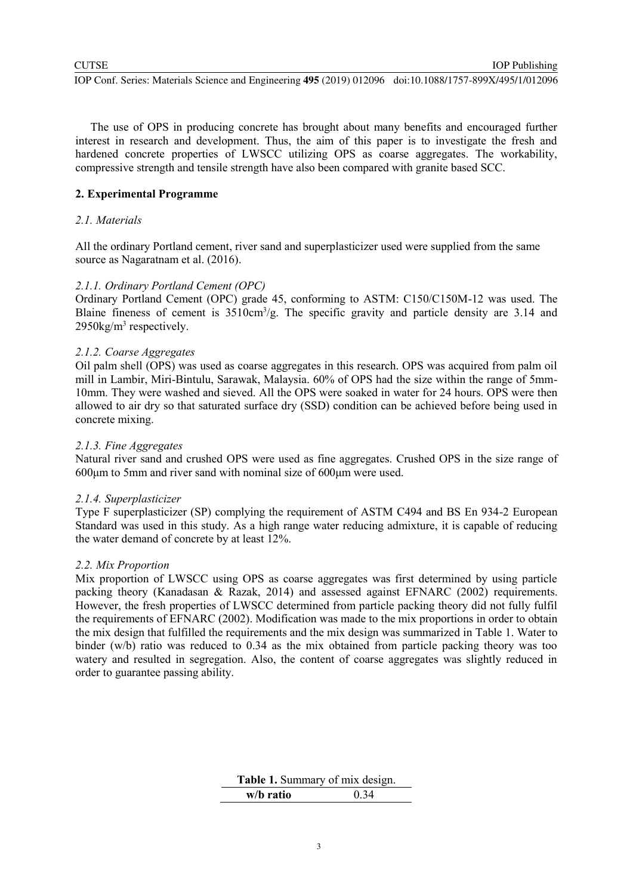IOP Publishing

The use of OPS in producing concrete has brought about many benefits and encouraged further interest in research and development. Thus, the aim of this paper is to investigate the fresh and hardened concrete properties of LWSCC utilizing OPS as coarse aggregates. The workability, compressive strength and tensile strength have also been compared with granite based SCC.

# **2. Experimental Programme**

## *2.1. Materials*

All the ordinary Portland cement, river sand and superplasticizer used were supplied from the same source as [Nagaratnam et al. \(2016\).](#page-10-4)

## *2.1.1. Ordinary Portland Cement (OPC)*

Ordinary Portland Cement (OPC) grade 45, conforming to ASTM: C150/C150M-12 was used. The Blaine fineness of cement is  $3510 \text{cm}^3/\text{g}$ . The specific gravity and particle density are 3.14 and  $2950$ kg/m<sup>3</sup> respectively.

## *2.1.2. Coarse Aggregates*

Oil palm shell (OPS) was used as coarse aggregates in this research. OPS was acquired from palm oil mill in Lambir, Miri-Bintulu, Sarawak, Malaysia. 60% of OPS had the size within the range of 5mm-10mm. They were washed and sieved. All the OPS were soaked in water for 24 hours. OPS were then allowed to air dry so that saturated surface dry (SSD) condition can be achieved before being used in concrete mixing.

### *2.1.3. Fine Aggregates*

Natural river sand and crushed OPS were used as fine aggregates. Crushed OPS in the size range of 600μm to 5mm and river sand with nominal size of 600μm were used.

# *2.1.4. Superplasticizer*

Type F superplasticizer (SP) complying the requirement of ASTM C494 and BS En 934-2 European Standard was used in this study. As a high range water reducing admixture, it is capable of reducing the water demand of concrete by at least 12%.

# *2.2. Mix Proportion*

Mix proportion of LWSCC using OPS as coarse aggregates was first determined by using particle packing theory [\(Kanadasan & Razak, 2014\)](#page-9-8) and assessed against [EFNARC \(2002\)](#page-9-9) requirements. However, the fresh properties of LWSCC determined from particle packing theory did not fully fulfil the requirements of [EFNARC \(2002\).](#page-9-9) Modification was made to the mix proportions in order to obtain the mix design that fulfilled the requirements and the mix design was summarized in [Table 1.](#page-3-0) Water to binder (w/b) ratio was reduced to 0.34 as the mix obtained from particle packing theory was too watery and resulted in segregation. Also, the content of coarse aggregates was slightly reduced in order to guarantee passing ability.

<span id="page-3-0"></span>

| Table 1. Summary of mix design. |      |
|---------------------------------|------|
| w/b ratio                       | 0.34 |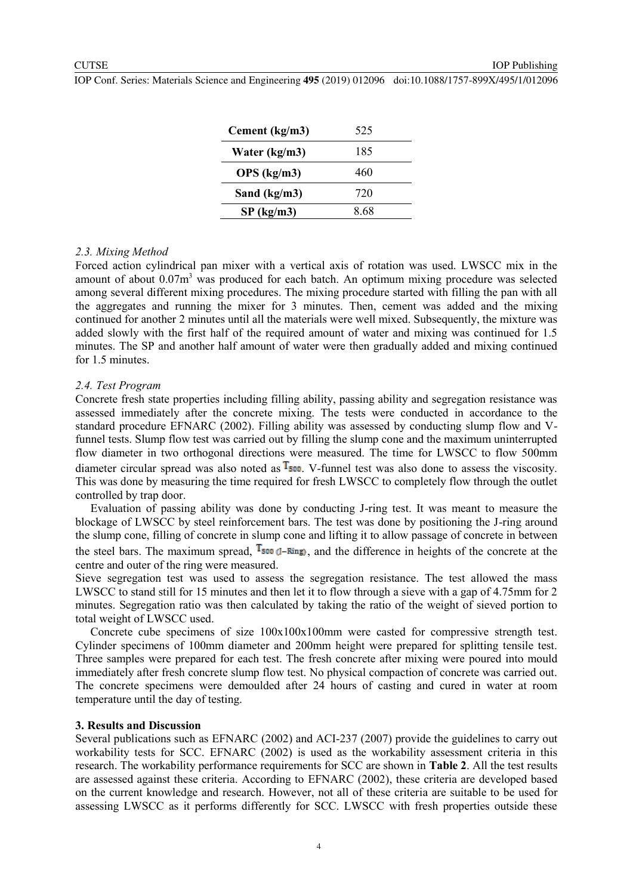IOP Publishing

| Cement (kg/m3) | 525  |
|----------------|------|
| Water (kg/m3)  | 185  |
| OPS (kg/m3)    | 460  |
| Sand (kg/m3)   | 720  |
| SP (kg/m3)     | 8.68 |

#### *2.3. Mixing Method*

Forced action cylindrical pan mixer with a vertical axis of rotation was used. LWSCC mix in the amount of about 0.07m<sup>3</sup> was produced for each batch. An optimum mixing procedure was selected among several different mixing procedures. The mixing procedure started with filling the pan with all the aggregates and running the mixer for 3 minutes. Then, cement was added and the mixing continued for another 2 minutes until all the materials were well mixed. Subsequently, the mixture was added slowly with the first half of the required amount of water and mixing was continued for 1.5 minutes. The SP and another half amount of water were then gradually added and mixing continued for 1.5 minutes.

#### *2.4. Test Program*

Concrete fresh state properties including filling ability, passing ability and segregation resistance was assessed immediately after the concrete mixing. The tests were conducted in accordance to the standard procedure [EFNARC \(2002\).](#page-9-9) Filling ability was assessed by conducting slump flow and Vfunnel tests. Slump flow test was carried out by filling the slump cone and the maximum uninterrupted flow diameter in two orthogonal directions were measured. The time for LWSCC to flow 500mm diameter circular spread was also noted as  $T_{500}$ . V-funnel test was also done to assess the viscosity. This was done by measuring the time required for fresh LWSCC to completely flow through the outlet controlled by trap door.

Evaluation of passing ability was done by conducting J-ring test. It was meant to measure the blockage of LWSCC by steel reinforcement bars. The test was done by positioning the J-ring around the slump cone, filling of concrete in slump cone and lifting it to allow passage of concrete in between the steel bars. The maximum spread,  $T_{500}$  (*J*-Ring), and the difference in heights of the concrete at the centre and outer of the ring were measured.

Sieve segregation test was used to assess the segregation resistance. The test allowed the mass LWSCC to stand still for 15 minutes and then let it to flow through a sieve with a gap of 4.75mm for 2 minutes. Segregation ratio was then calculated by taking the ratio of the weight of sieved portion to total weight of LWSCC used.

Concrete cube specimens of size 100x100x100mm were casted for compressive strength test. Cylinder specimens of 100mm diameter and 200mm height were prepared for splitting tensile test. Three samples were prepared for each test. The fresh concrete after mixing were poured into mould immediately after fresh concrete slump flow test. No physical compaction of concrete was carried out. The concrete specimens were demoulded after 24 hours of casting and cured in water at room temperature until the day of testing.

#### **3. Results and Discussion**

Several publications such as [EFNARC \(2002\)](#page-9-9) and [ACI-237 \(2007\)](#page-9-11) provide the guidelines to carry out workability tests for SCC. [EFNARC \(2002\)](#page-9-9) is used as the workability assessment criteria in this research. The workability performance requirements for SCC are shown in **[Table 2](#page-5-0)**. All the test results are assessed against these criteria. According to [EFNARC \(2002\),](#page-9-9) these criteria are developed based on the current knowledge and research. However, not all of these criteria are suitable to be used for assessing LWSCC as it performs differently for SCC. LWSCC with fresh properties outside these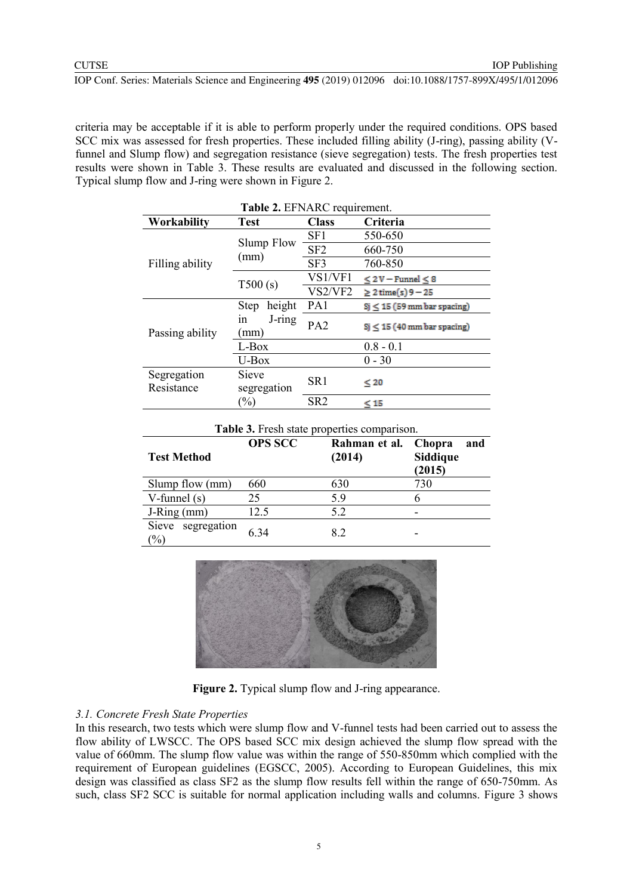criteria may be acceptable if it is able to perform properly under the required conditions. OPS based SCC mix was assessed for fresh properties. These included filling ability (J-ring), passing ability (Vfunnel and Slump flow) and segregation resistance (sieve segregation) tests. The fresh properties test results were shown in [Table 3.](#page-5-1) These results are evaluated and discussed in the following section. Typical slump flow and J-ring were shown in [Figure 2.](#page-5-2)

<span id="page-5-0"></span>

| <b>Table 2. EFNARC</b> requirement. |                       |                 |                                  |  |
|-------------------------------------|-----------------------|-----------------|----------------------------------|--|
| Workability                         | <b>Test</b>           | <b>Class</b>    | Criteria                         |  |
| Filling ability                     |                       | SF1             | 550-650                          |  |
|                                     | <b>Slump Flow</b>     | SF <sub>2</sub> | 660-750                          |  |
|                                     | (mm)                  | SF3             | 760-850                          |  |
|                                     | T500(s)               | VS1/VF1         | $\leq$ 2 V – Funnel $\leq$ 8     |  |
|                                     |                       | VS2/VF2         | $\geq$ 2 time(s) 9 - 25          |  |
| Passing ability                     | height<br><b>Step</b> | PA <sub>1</sub> | $Sj \leq 15$ (59 mm bar spacing) |  |
|                                     | J-ring<br>1n<br>(mm)  | PA <sub>2</sub> | $Si \leq 15$ (40 mm bar spacing) |  |
|                                     | L-Box                 |                 | $0.8 - 0.1$                      |  |
|                                     | U-Box                 |                 | $0 - 30$                         |  |
| Segregation                         | Sieve                 | SR <sub>1</sub> |                                  |  |
| Resistance                          | segregation           |                 | $\leq 20$                        |  |
|                                     | $(\%)$                | SR <sub>2</sub> | $\leq 15$                        |  |

<span id="page-5-1"></span>

| Table 3. Fresh state properties comparison.     |                |                         |                                            |
|-------------------------------------------------|----------------|-------------------------|--------------------------------------------|
| <b>Test Method</b>                              | <b>OPS SCC</b> | Rahman et al.<br>(2014) | <b>Chopra</b><br>and<br>Siddique<br>(2015) |
| Slump flow (mm)                                 | 660            | 630                     | 730                                        |
| V-funnel $(s)$                                  | 25             | 5.9                     |                                            |
| $J-Ring$ (mm)                                   | 12.5           | 5.2                     |                                            |
| Sieve segregation<br>$\left(\frac{0}{0}\right)$ | 6.34           | 8.2                     |                                            |



**Figure 2.** Typical slump flow and J-ring appearance.

### <span id="page-5-2"></span>*3.1. Concrete Fresh State Properties*

In this research, two tests which were slump flow and V-funnel tests had been carried out to assess the flow ability of LWSCC. The OPS based SCC mix design achieved the slump flow spread with the value of 660mm. The slump flow value was within the range of 550-850mm which complied with the requirement of European guidelines [\(EGSCC, 2005\)](#page-9-0). According to European Guidelines, this mix design was classified as class SF2 as the slump flow results fell within the range of 650-750mm. As such, class SF2 SCC is suitable for normal application including walls and columns. [Figure 3](#page-6-0) shows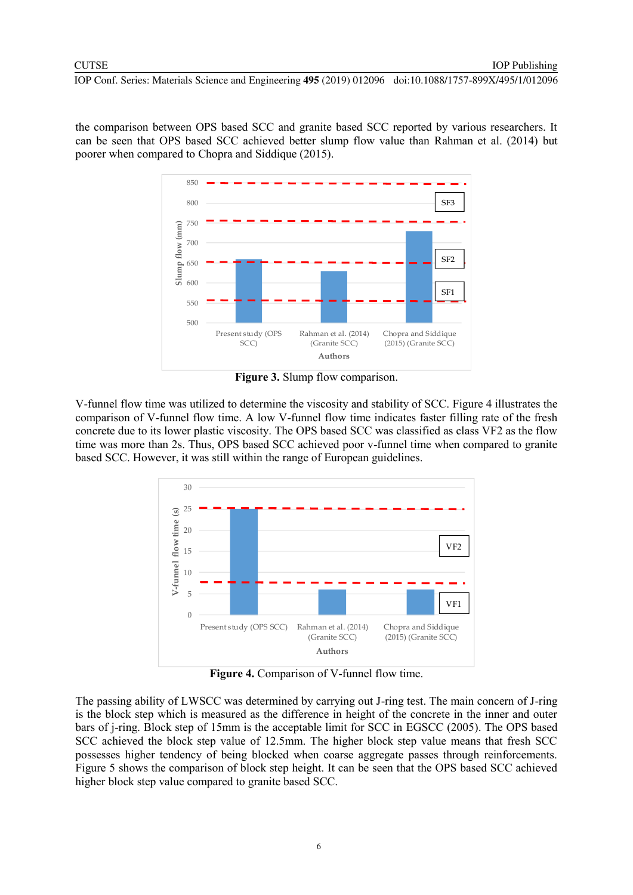the comparison between OPS based SCC and granite based SCC reported by various researchers. It can be seen that OPS based SCC achieved better slump flow value than [Rahman et al. \(2014\)](#page-10-9) but poorer when compared to [Chopra and Siddique \(2015\).](#page-9-12)



**Figure 3.** Slump flow comparison.

<span id="page-6-0"></span>V-funnel flow time was utilized to determine the viscosity and stability of SCC. [Figure 4](#page-6-1) illustrates the comparison of V-funnel flow time. A low V-funnel flow time indicates faster filling rate of the fresh concrete due to its lower plastic viscosity. The OPS based SCC was classified as class VF2 as the flow time was more than 2s. Thus, OPS based SCC achieved poor v-funnel time when compared to granite based SCC. However, it was still within the range of European guidelines.



**Figure 4.** Comparison of V-funnel flow time.

<span id="page-6-1"></span>The passing ability of LWSCC was determined by carrying out J-ring test. The main concern of J-ring is the block step which is measured as the difference in height of the concrete in the inner and outer bars of j-ring. Block step of 15mm is the acceptable limit for SCC in [EGSCC \(2005\).](#page-9-0) The OPS based SCC achieved the block step value of 12.5mm. The higher block step value means that fresh SCC possesses higher tendency of being blocked when coarse aggregate passes through reinforcements. [Figure 5](#page-7-0) shows the comparison of block step height. It can be seen that the OPS based SCC achieved higher block step value compared to granite based SCC.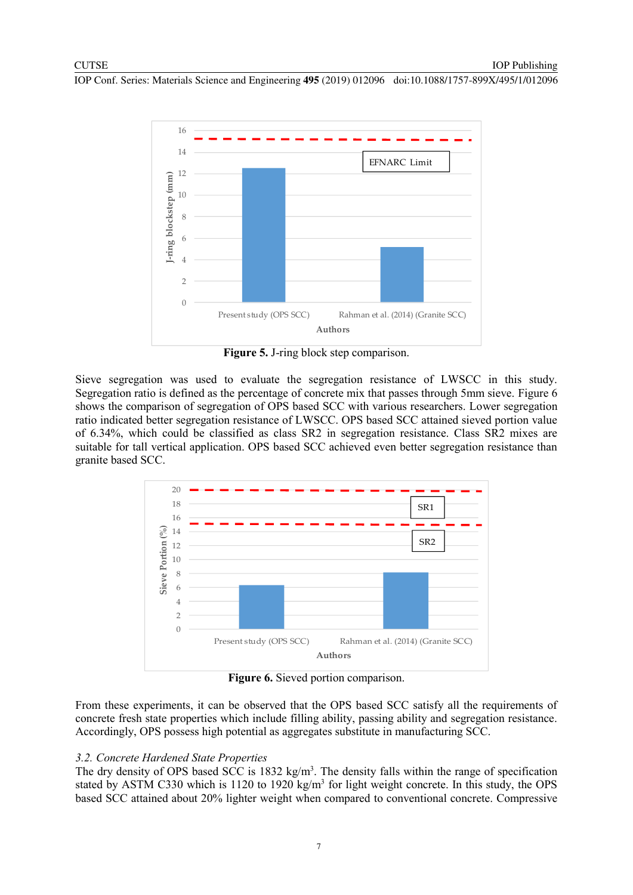

**Figure 5.** J-ring block step comparison.

<span id="page-7-0"></span>Sieve segregation was used to evaluate the segregation resistance of LWSCC in this study. Segregation ratio is defined as the percentage of concrete mix that passes through 5mm sieve. [Figure 6](#page-7-1) shows the comparison of segregation of OPS based SCC with various researchers. Lower segregation ratio indicated better segregation resistance of LWSCC. OPS based SCC attained sieved portion value of 6.34%, which could be classified as class SR2 in segregation resistance. Class SR2 mixes are suitable for tall vertical application. OPS based SCC achieved even better segregation resistance than granite based SCC.



**Figure 6.** Sieved portion comparison.

<span id="page-7-1"></span>From these experiments, it can be observed that the OPS based SCC satisfy all the requirements of concrete fresh state properties which include filling ability, passing ability and segregation resistance. Accordingly, OPS possess high potential as aggregates substitute in manufacturing SCC.

# *3.2. Concrete Hardened State Properties*

The dry density of OPS based SCC is  $1832 \text{ kg/m}^3$ . The density falls within the range of specification stated by ASTM C330 which is 1120 to 1920 kg/m<sup>3</sup> for light weight concrete. In this study, the OPS based SCC attained about 20% lighter weight when compared to conventional concrete. Compressive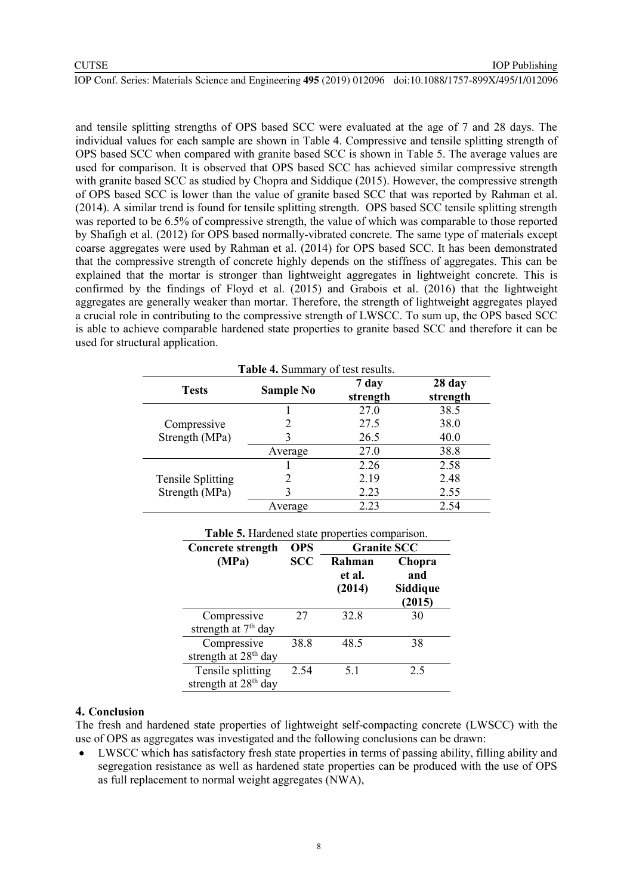and tensile splitting strengths of OPS based SCC were evaluated at the age of 7 and 28 days. The individual values for each sample are shown in [Table 4.](#page-8-0) Compressive and tensile splitting strength of OPS based SCC when compared with granite based SCC is shown in [Table 5.](#page-8-1) The average values are used for comparison. It is observed that OPS based SCC has achieved similar compressive strength with granite based SCC as studied by [Chopra and Siddique \(2015\).](#page-9-12) However, the compressive strength of OPS based SCC is lower than the value of granite based SCC that was reported by [Rahman et al.](#page-10-9)  (2014). A similar trend is found for tensile splitting strength. OPS based SCC tensile splitting strength was reported to be 6.5% of compressive strength, the value of which was comparable to those reported by [Shafigh et al. \(2012\)](#page-10-8) for OPS based normally-vibrated concrete. The same type of materials except coarse aggregates were used by [Rahman et al. \(2014\)](#page-10-9) for OPS based SCC. It has been demonstrated that the compressive strength of concrete highly depends on the stiffness of aggregates. This can be explained that the mortar is stronger than lightweight aggregates in lightweight concrete. This is confirmed by the findings of [Floyd et al. \(2015\)](#page-9-13) and [Grabois et al. \(2016\)](#page-9-14) that the lightweight aggregates are generally weaker than mortar. Therefore, the strength of lightweight aggregates played a crucial role in contributing to the compressive strength of LWSCC. To sum up, the OPS based SCC is able to achieve comparable hardened state properties to granite based SCC and therefore it can be used for structural application.

<span id="page-8-0"></span>

| <b>Table 4. Summary of test results.</b>   |                  |                   |                    |
|--------------------------------------------|------------------|-------------------|--------------------|
| <b>Tests</b>                               | <b>Sample No</b> | 7 day<br>strength | 28 day<br>strength |
|                                            |                  | 27.0              | 38.5               |
| Compressive<br>Strength (MPa)              |                  | 27.5              | 38.0               |
|                                            |                  | 26.5              | 40.0               |
|                                            | Average          | 27.0              | 38.8               |
| <b>Tensile Splitting</b><br>Strength (MPa) |                  | 2.26              | 2.58               |
|                                            |                  | 2.19              | 2.48               |
|                                            |                  | 2.23              | 2.55               |
|                                            | Average          | 2.23              | 2.54               |

<span id="page-8-1"></span>

| Table 5. Hardened state properties comparison.        |            |                            |                                     |
|-------------------------------------------------------|------------|----------------------------|-------------------------------------|
| Concrete strength                                     | <b>OPS</b> | <b>Granite SCC</b>         |                                     |
| (MPa)                                                 | <b>SCC</b> | Rahman<br>et al.<br>(2014) | Chopra<br>and<br>Siddique<br>(2015) |
| Compressive<br>strength at 7 <sup>th</sup> day        | 27         | 32.8                       | 30                                  |
| Compressive<br>strength at 28 <sup>th</sup> day       | 38.8       | 48.5                       | 38                                  |
| Tensile splitting<br>strength at 28 <sup>th</sup> day | 2.54       | 5.1                        | 2.5                                 |

#### **4. Conclusion**

The fresh and hardened state properties of lightweight self-compacting concrete (LWSCC) with the use of OPS as aggregates was investigated and the following conclusions can be drawn:

 LWSCC which has satisfactory fresh state properties in terms of passing ability, filling ability and segregation resistance as well as hardened state properties can be produced with the use of OPS as full replacement to normal weight aggregates (NWA),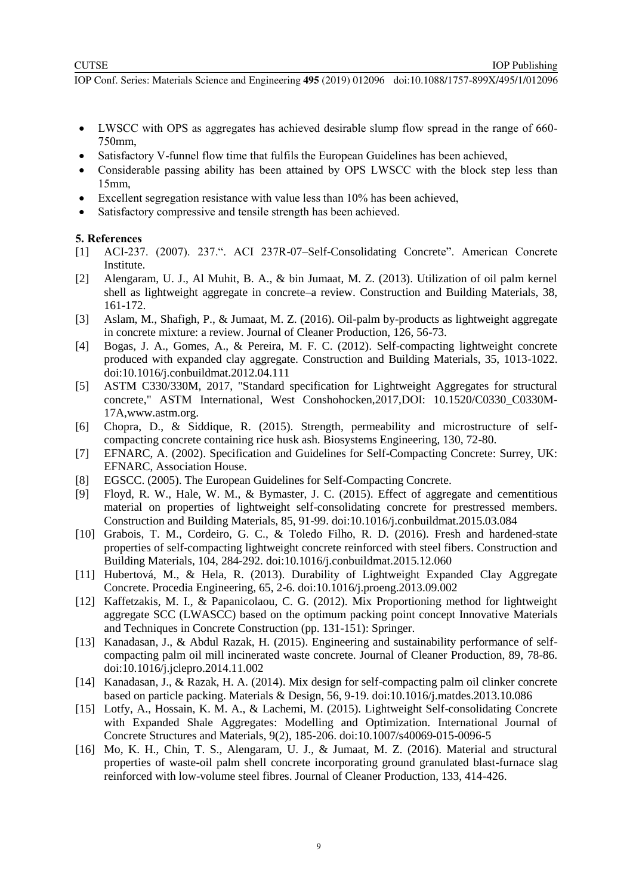- LWSCC with OPS as aggregates has achieved desirable slump flow spread in the range of 660- 750mm,
- Satisfactory V-funnel flow time that fulfils the European Guidelines has been achieved,
- Considerable passing ability has been attained by OPS LWSCC with the block step less than 15mm,
- Excellent segregation resistance with value less than 10% has been achieved,
- Satisfactory compressive and tensile strength has been achieved.

## **5. References**

- <span id="page-9-11"></span>[1] ACI-237. (2007). 237.". ACI 237R-07–Self-Consolidating Concrete". American Concrete Institute.
- <span id="page-9-5"></span>[2] Alengaram, U. J., Al Muhit, B. A., & bin Jumaat, M. Z. (2013). Utilization of oil palm kernel shell as lightweight aggregate in concrete–a review. Construction and Building Materials, 38, 161-172.
- <span id="page-9-6"></span>[3] Aslam, M., Shafigh, P., & Jumaat, M. Z. (2016). Oil-palm by-products as lightweight aggregate in concrete mixture: a review. Journal of Cleaner Production, 126, 56-73.
- <span id="page-9-2"></span>[4] Bogas, J. A., Gomes, A., & Pereira, M. F. C. (2012). Self-compacting lightweight concrete produced with expanded clay aggregate. Construction and Building Materials, 35, 1013-1022. doi:10.1016/j.conbuildmat.2012.04.111
- [5] ASTM C330/330M, 2017, "Standard specification for Lightweight Aggregates for structural concrete," ASTM International, West Conshohocken,2017,DOI: 10.1520/C0330\_C0330M-17A[,www.astm.org.](http://www.astm.org/)
- <span id="page-9-12"></span>[6] Chopra, D., & Siddique, R. (2015). Strength, permeability and microstructure of selfcompacting concrete containing rice husk ash. Biosystems Engineering, 130, 72-80.
- <span id="page-9-9"></span>[7] EFNARC, A. (2002). Specification and Guidelines for Self-Compacting Concrete: Surrey, UK: EFNARC, Association House.
- <span id="page-9-0"></span>[8] EGSCC. (2005). The European Guidelines for Self-Compacting Concrete.
- <span id="page-9-13"></span>[9] Floyd, R. W., Hale, W. M., & Bymaster, J. C. (2015). Effect of aggregate and cementitious material on properties of lightweight self-consolidating concrete for prestressed members. Construction and Building Materials, 85, 91-99. doi:10.1016/j.conbuildmat.2015.03.084
- <span id="page-9-14"></span>[10] Grabois, T. M., Cordeiro, G. C., & Toledo Filho, R. D. (2016). Fresh and hardened-state properties of self-compacting lightweight concrete reinforced with steel fibers. Construction and Building Materials, 104, 284-292. doi:10.1016/j.conbuildmat.2015.12.060
- <span id="page-9-3"></span>[11] Hubertová, M., & Hela, R. (2013). Durability of Lightweight Expanded Clay Aggregate Concrete. Procedia Engineering, 65, 2-6. doi:10.1016/j.proeng.2013.09.002
- <span id="page-9-4"></span>[12] Kaffetzakis, M. I., & Papanicolaou, C. G. (2012). Mix Proportioning method for lightweight aggregate SCC (LWASCC) based on the optimum packing point concept Innovative Materials and Techniques in Concrete Construction (pp. 131-151): Springer.
- <span id="page-9-10"></span>[13] Kanadasan, J., & Abdul Razak, H. (2015). Engineering and sustainability performance of selfcompacting palm oil mill incinerated waste concrete. Journal of Cleaner Production, 89, 78-86. doi:10.1016/j.jclepro.2014.11.002
- <span id="page-9-8"></span>[14] Kanadasan, J., & Razak, H. A. (2014). Mix design for self-compacting palm oil clinker concrete based on particle packing. Materials & Design, 56, 9-19. doi:10.1016/j.matdes.2013.10.086
- <span id="page-9-1"></span>[15] Lotfy, A., Hossain, K. M. A., & Lachemi, M. (2015). Lightweight Self-consolidating Concrete with Expanded Shale Aggregates: Modelling and Optimization. International Journal of Concrete Structures and Materials, 9(2), 185-206. doi:10.1007/s40069-015-0096-5
- <span id="page-9-7"></span>[16] Mo, K. H., Chin, T. S., Alengaram, U. J., & Jumaat, M. Z. (2016). Material and structural properties of waste-oil palm shell concrete incorporating ground granulated blast-furnace slag reinforced with low-volume steel fibres. Journal of Cleaner Production, 133, 414-426.